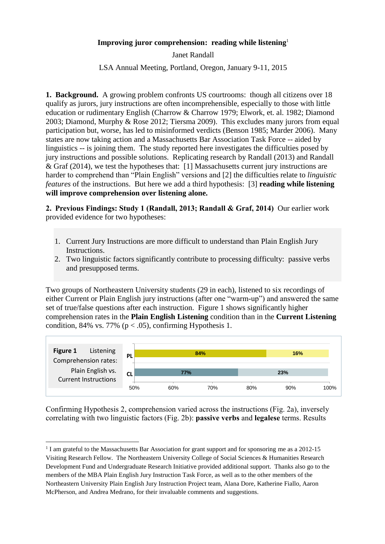## **Improving juror comprehension: reading while listening**<sup>1</sup>

Janet Randall

LSA Annual Meeting, Portland, Oregon, January 9-11, 2015

**1. Background.** A growing problem confronts US courtrooms: though all citizens over 18 qualify as jurors, jury instructions are often incomprehensible, especially to those with little education or rudimentary English (Charrow & Charrow 1979; Elwork, et. al. 1982; Diamond 2003; Diamond, Murphy & Rose 2012; Tiersma 2009). This excludes many jurors from equal participation but, worse, has led to misinformed verdicts (Benson 1985; Marder 2006). Many states are now taking action and a Massachusetts Bar Association Task Force -- aided by linguistics -- is joining them. The study reported here investigates the difficulties posed by jury instructions and possible solutions. Replicating research by Randall (2013) and Randall & Graf (2014), we test the hypotheses that: [1] Massachusetts current jury instructions are harder to comprehend than "Plain English" versions and [2] the difficulties relate to *linguistic features* of the instructions. But here we add a third hypothesis: [3] **reading while listening will improve comprehension over listening alone.** 

**2. Previous Findings: Study 1 (Randall, 2013; Randall & Graf, 2014)** Our earlier work provided evidence for two hypotheses:

- 1. Current Jury Instructions are more difficult to understand than Plain English Jury Instructions.
- 2. Two linguistic factors significantly contribute to processing difficulty: passive verbs and presupposed terms.

Two groups of Northeastern University students (29 in each), listened to six recordings of either Current or Plain English jury instructions (after one "warm-up") and answered the same set of true/false questions after each instruction. Figure 1 shows significantly higher comprehension rates in the **Plain English Listening** condition than in the **Current Listening**  condition, 84% vs. 77% ( $p < .05$ ), confirming Hypothesis 1.



Confirming Hypothesis 2, comprehension varied across the instructions (Fig. 2a), inversely correlating with two linguistic factors (Fig. 2b): **passive verbs** and **legalese** terms. Results

**<sup>.</sup>** <sup>1</sup> I am grateful to the Massachusetts Bar Association for grant support and for sponsoring me as a 2012-15 Visiting Research Fellow. The Northeastern University College of Social Sciences & Humanities Research Development Fund and Undergraduate Research Initiative provided additional support. Thanks also go to the members of the MBA Plain English Jury Instruction Task Force, as well as to the other members of the Northeastern University Plain English Jury Instruction Project team, Alana Dore, Katherine Fiallo, Aaron McPherson, and Andrea Medrano, for their invaluable comments and suggestions.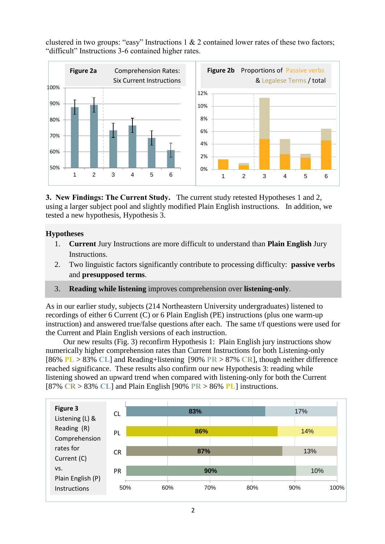clustered in two groups: "easy" Instructions  $1 \& 2$  contained lower rates of these two factors; "difficult" Instructions 3-6 contained higher rates.



**3. New Findings: The Current Study.** The current study retested Hypotheses 1 and 2, using a larger subject pool and slightly modified Plain English instructions. In addition, we tested a new hypothesis, Hypothesis 3.

## **Hypotheses**

- 1. **Current** Jury Instructions are more difficult to understand than **Plain English** Jury Instructions.
- 2. Two linguistic factors significantly contribute to processing difficulty: **passive verbs**  and **presupposed terms**.
- 3. **Reading while listening** improves comprehension over **listening-only**.

As in our earlier study, subjects (214 Northeastern University undergraduates) listened to recordings of either 6 Current (C) or 6 Plain English (PE) instructions (plus one warm-up instruction) and answered true/false questions after each. The same t/f questions were used for the Current and Plain English versions of each instruction.

Our new results (Fig. 3) reconfirm Hypothesis 1: Plain English jury instructions show numerically higher comprehension rates than Current Instructions for both Listening-only [86% **PL** > 83% **CL**] and Reading+listening [90% **PR** > 87% **CR**], though neither difference reached significance. These results also confirm our new Hypothesis 3: reading while listening showed an upward trend when compared with listening-only for both the Current [87% **CR** > 83% **CL**] and Plain English [90% **PR** > 86% **PL**] instructions.

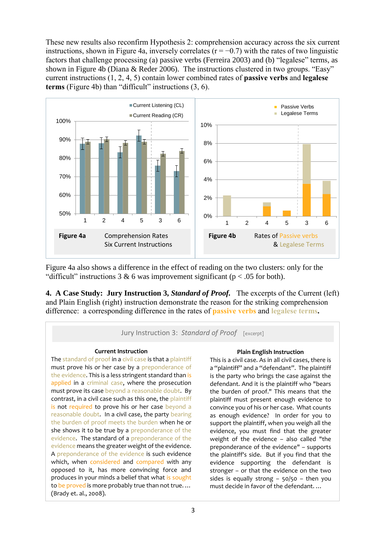These new results also reconfirm Hypothesis 2: comprehension accuracy across the six current instructions, shown in Figure 4a, inversely correlates  $(r = -0.7)$  with the rates of two linguistic factors that challenge processing (a) passive verbs (Ferreira 2003) and (b) "legalese" terms, as shown in Figure 4b (Diana & Reder 2006). The instructions clustered in two groups. "Easy" current instructions (1, 2, 4, 5) contain lower combined rates of **passive verbs** and **legalese terms** (Figure 4b) than "difficult" instructions (3, 6).



Figure 4a also shows a difference in the effect of reading on the two clusters: only for the "difficult" instructions 3 & 6 was improvement significant ( $p < .05$  for both).

**4. A Case Study: Jury Instruction 3,** *Standard of Proof.* The excerpts of the Current (left) and Plain English (right) instruction demonstrate the reason for the striking comprehension difference: a corresponding difference in the rates of **passive verbs** and **legalese terms.**



the plaintiff's side. But if you find that the evidence supporting the defendant is stronger – or that the evidence on the two sides is equally strong  $-50/50 -$  then you must decide in favor of the defendant. …

which, when considered and compared with any opposed to it, has more convincing force and produces in your minds a belief that what is sought to be proved is more probably true than not true....

(Brady et. al., 2008).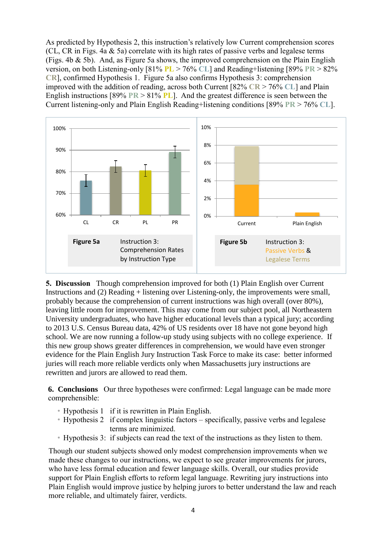As predicted by Hypothesis 2, this instruction's relatively low Current comprehension scores (CL, CR in Figs. 4a & 5a) correlate with its high rates of passive verbs and legalese terms (Figs. 4b & 5b). And, as Figure 5a shows, the improved comprehension on the Plain English version, on both Listening-only [81% **PL** > 76% **CL**] and Reading+listening [89% **PR** > 82% **CR**], confirmed Hypothesis 1. Figure 5a also confirms Hypothesis 3: comprehension improved with the addition of reading, across both Current [82% **CR** > 76% **CL**] and Plain English instructions [89% **PR** > 81% **PL**]. And the greatest difference is seen between the Current listening-only and Plain English Reading+listening conditions [89% **PR** > 76% **CL**].



**5. Discussion** Though comprehension improved for both (1) Plain English over Current Instructions and (2) Reading + listening over Listening-only, the improvements were small, probably because the comprehension of current instructions was high overall (over 80%), leaving little room for improvement. This may come from our subject pool, all Northeastern University undergraduates, who have higher educational levels than a typical jury; according to 2013 U.S. Census Bureau data, 42% of US residents over 18 have not gone beyond high school. We are now running a follow-up study using subjects with no college experience. If this new group shows greater differences in comprehension, we would have even stronger evidence for the Plain English Jury Instruction Task Force to make its case: better informed juries will reach more reliable verdicts only when Massachusetts jury instructions are rewritten and jurors are allowed to read them.

**6. Conclusions** Our three hypotheses were confirmed: Legal language can be made more comprehensible:

- Hypothesis 1 if it is rewritten in Plain English.
- Hypothesis 2 if complex linguistic factors specifically, passive verbs and legalese terms are minimized.
- Hypothesis 3: if subjects can read the text of the instructions as they listen to them.

Though our student subjects showed only modest comprehension improvements when we made these changes to our instructions, we expect to see greater improvements for jurors, who have less formal education and fewer language skills. Overall, our studies provide support for Plain English efforts to reform legal language. Rewriting jury instructions into Plain English would improve justice by helping jurors to better understand the law and reach more reliable, and ultimately fairer, verdicts.